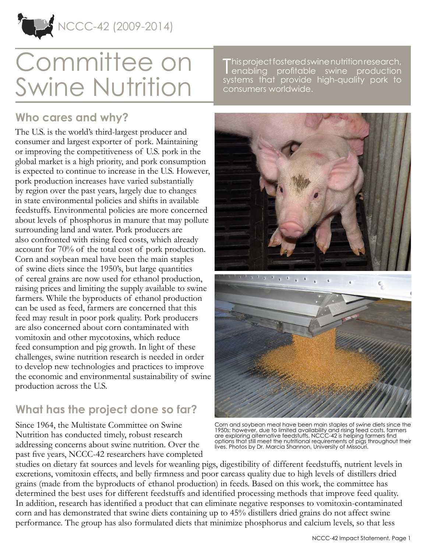

# Committee on Swine Nutrition

**Who cares and why?**

The U.S. is the world's third-largest producer and consumer and largest exporter of pork. Maintaining or improving the competitiveness of U.S. pork in the global market is a high priority, and pork consumption is expected to continue to increase in the U.S. However, pork production increases have varied substantially by region over the past years, largely due to changes in state environmental policies and shifts in available feedstuffs. Environmental policies are more concerned about levels of phosphorus in manure that may pollute surrounding land and water. Pork producers are also confronted with rising feed costs, which already account for 70% of the total cost of pork production. Corn and soybean meal have been the main staples of swine diets since the 1950's, but large quantities of cereal grains are now used for ethanol production, raising prices and limiting the supply available to swine farmers. While the byproducts of ethanol production can be used as feed, farmers are concerned that this feed may result in poor pork quality. Pork producers are also concerned about corn contaminated with vomitoxin and other mycotoxins, which reduce feed consumption and pig growth. In light of these challenges, swine nutrition research is needed in order to develop new technologies and practices to improve the economic and environmental sustainability of swine production across the U.S.

## **What has the project done so far?**

Since 1964, the Multistate Committee on Swine Nutrition has conducted timely, robust research addressing concerns about swine nutrition. Over the past five years, NCCC-42 researchers have completed

This project fostered swine nutrition research,<br>Penabling profitable swine production enabling profitable swine production systems that provide high-quality pork to consumers worldwide.



Corn and soybean meal have been main staples of swine diets since the 1950s; however, due to limited availability and rising feed costs, farmers are exploring alternative feedstuffs. NCCC-42 is helping farmers find options that still meet the nutritional requirements of pigs throughout their lives. Photos by Dr. Marcia Shannon, University of Missouri.

studies on dietary fat sources and levels for weanling pigs, digestibility of different feedstuffs, nutrient levels in excretions, vomitoxin effects, and belly firmness and poor carcass quality due to high levels of distillers dried grains (made from the byproducts of ethanol production) in feeds. Based on this work, the committee has determined the best uses for different feedstuffs and identified processing methods that improve feed quality. In addition, research has identified a product that can eliminate negative responses to vomitoxin-contaminated corn and has demonstrated that swine diets containing up to 45% distillers dried grains do not affect swine performance. The group has also formulated diets that minimize phosphorus and calcium levels, so that less